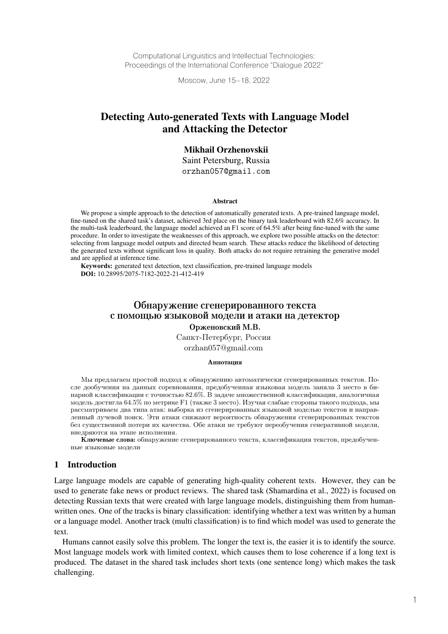Computational Linguistics and Intellectual Technologies: Proceedings of the International Conference "Dialogue 2022"

Moscow, June 15–18, 2022

# Detecting Auto-generated Texts with Language Model and Attacking the Detector

## Mikhail Orzhenovskii

Saint Petersburg, Russia orzhan057@gmail.com

#### Abstract

We propose a simple approach to the detection of automatically generated texts. A pre-trained language model, fine-tuned on the shared task's dataset, achieved 3rd place on the binary task leaderboard with 82.6% accuracy. In the multi-task leaderboard, the language model achieved an F1 score of 64.5% after being fine-tuned with the same procedure. In order to investigate the weaknesses of this approach, we explore two possible attacks on the detector: selecting from language model outputs and directed beam search. These attacks reduce the likelihood of detecting the generated texts without significant loss in quality. Both attacks do not require retraining the generative model and are applied at inference time.

**Keywords:** generated text detection, text classification, pre-trained language models **DOI:** 10.28995/2075-7182-2022-21-412-419

## Обнаружение сгенерированного текста с помощью языковой модели и атаки на детектор Орженовский М.В.

Санкт-Петербург, Россия

orzhan057@gmail.com

#### Аннотапия

Мы предлагаем простой подход к обнаружению автоматически сгенерированных текстов. После дообучения на данных соревнования, предобученная языковая модель заняла 3 место в бинарной классификации с точностью 82.6%. В задаче множественной классификации, аналогичная модель достигла 64.5% по метрике F1 (также 3 место). Изучая слабые стороны такого подхода, мы рассматриваем два типа атак: выборка из сгенерированных языковой моделью текстов и направленный лучевой поиск. Эти атаки снижают вероятность обнаружения сгенерированных текстов без существенной потери их качества. Обе атаки не требуют переобучения генеративной модели, внедряются на этапе исполнения.

Ключевые слова: обнаружение сгенерированного текста, классификация текстов, предобученные языковые модели

## 1 Introduction

Large language models are capable of generating high-quality coherent texts. However, they can be used to generate fake news or product reviews. The shared task (Shamardina et al., 2022) is focused on detecting Russian texts that were created with large language models, distinguishing them from humanwritten ones. One of the tracks is binary classification: identifying whether a text was written by a human or a language model. Another track (multi classification) is to find which model was used to generate the text.

Humans cannot easily solve this problem. The longer the text is, the easier it is to identify the source. Most language models work with limited context, which causes them to lose coherence if a long text is produced. The dataset in the shared task includes short texts (one sentence long) which makes the task challenging.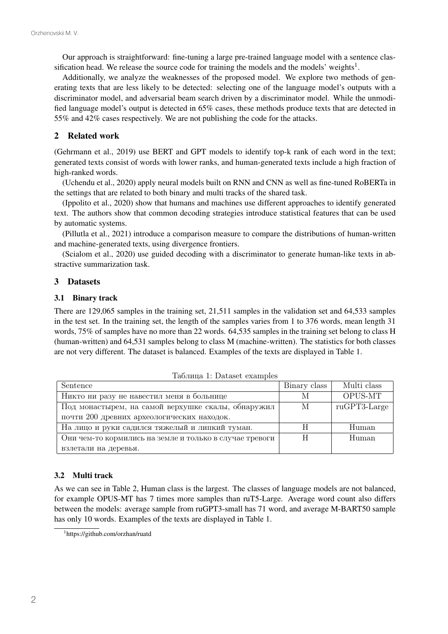Our approach is straightforward: fine-tuning a large pre-trained language model with a sentence classification head. We release the source code for training the models and the models' weights<sup>1</sup>.

Additionally, we analyze the weaknesses of the proposed model. We explore two methods of generating texts that are less likely to be detected: selecting one of the language model's outputs with a discriminator model, and adversarial beam search driven by a discriminator model. While the unmodified language model's output is detected in 65% cases, these methods produce texts that are detected in 55% and 42% cases respectively. We are not publishing the code for the attacks.

## 2 Related work

(Gehrmann et al., 2019) use BERT and GPT models to identify top-k rank of each word in the text; generated texts consist of words with lower ranks, and human-generated texts include a high fraction of high-ranked words.

(Uchendu et al., 2020) apply neural models built on RNN and CNN as well as fine-tuned RoBERTa in the settings that are related to both binary and multi tracks of the shared task.

(Ippolito et al., 2020) show that humans and machines use different approaches to identify generated text. The authors show that common decoding strategies introduce statistical features that can be used by automatic systems.

(Pillutla et al., 2021) introduce a comparison measure to compare the distributions of human-written and machine-generated texts, using divergence frontiers.

(Scialom et al., 2020) use guided decoding with a discriminator to generate human-like texts in abstractive summarization task.

## 3 Datasets

## 3.1 Binary track

There are 129,065 samples in the training set, 21,511 samples in the validation set and 64,533 samples in the test set. In the training set, the length of the samples varies from 1 to 376 words, mean length 31 words, 75% of samples have no more than 22 words. 64,535 samples in the training set belong to class H (human-written) and 64,531 samples belong to class M (machine-written). The statistics for both classes are not very different. The dataset is balanced. Examples of the texts are displayed in Table 1.

| Sentence                                                | Binary class | Multi class    |
|---------------------------------------------------------|--------------|----------------|
| Никто ни разу не навестил меня в больнице               | М            | OPUS-MT        |
| Под монастырем, на самой верхушке скалы, обнаружил      | М            | $ruGPT3-Large$ |
| почти 200 древних археологических находок.              |              |                |
| На лицо и руки садился тяжелый и липкий туман.          |              | Human          |
| Они чем-то кормились на земле и только в случае тревоги |              | Human          |
| взлетали на деревья.                                    |              |                |

Таблица 1: Dataset examples

## 3.2 Multi track

As we can see in Table 2, Human class is the largest. The classes of language models are not balanced, for example OPUS-MT has 7 times more samples than ruT5-Large. Average word count also differs between the models: average sample from ruGPT3-small has 71 word, and average M-BART50 sample has only 10 words. Examples of the texts are displayed in Table 1.

<sup>1</sup> https://github.com/orzhan/ruatd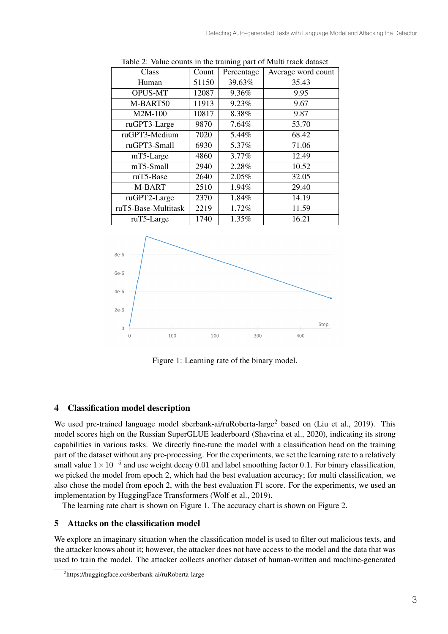| οг.                 |       |            |                    |  |  |  |  |  |  |
|---------------------|-------|------------|--------------------|--|--|--|--|--|--|
| Class               | Count | Percentage | Average word count |  |  |  |  |  |  |
| Human               | 51150 | 39.63%     | 35.43              |  |  |  |  |  |  |
| <b>OPUS-MT</b>      | 12087 | 9.36%      | 9.95               |  |  |  |  |  |  |
| M-BART50            | 11913 | 9.23%      | 9.67               |  |  |  |  |  |  |
| M2M-100             | 10817 | 8.38%      | 9.87               |  |  |  |  |  |  |
| ruGPT3-Large        | 9870  | 7.64%      | 53.70              |  |  |  |  |  |  |
| ruGPT3-Medium       | 7020  | 5.44%      | 68.42              |  |  |  |  |  |  |
| ruGPT3-Small        | 6930  | 5.37%      | 71.06              |  |  |  |  |  |  |
| mT5-Large           | 4860  | 3.77%      | 12.49              |  |  |  |  |  |  |
| mT5-Small           | 2940  | 2.28%      | 10.52              |  |  |  |  |  |  |
| ruT5-Base           | 2640  | 2.05%      | 32.05              |  |  |  |  |  |  |
| M-BART              | 2510  | 1.94%      | 29.40              |  |  |  |  |  |  |
| ruGPT2-Large        | 2370  | 1.84%      | 14.19              |  |  |  |  |  |  |
| ruT5-Base-Multitask | 2219  | 1.72%      | 11.59              |  |  |  |  |  |  |
| ruT5-Large          | 1740  | 1.35%      | 16.21              |  |  |  |  |  |  |

Table 2: Value counts in the training part of Multi track dataset



Figure 1: Learning rate of the binary model.

# 4 Classification model description

We used pre-trained language model sberbank-ai/ruRoberta-large<sup>2</sup> based on (Liu et al., 2019). This model scores high on the Russian SuperGLUE leaderboard (Shavrina et al., 2020), indicating its strong capabilities in various tasks. We directly fine-tune the model with a classification head on the training part of the dataset without any pre-processing. For the experiments, we set the learning rate to a relatively small value  $1 \times 10^{-5}$  and use weight decay 0.01 and label smoothing factor 0.1. For binary classification, we picked the model from epoch 2, which had the best evaluation accuracy; for multi classification, we also chose the model from epoch 2, with the best evaluation F1 score. For the experiments, we used an implementation by HuggingFace Transformers (Wolf et al., 2019).

The learning rate chart is shown on Figure 1. The accuracy chart is shown on Figure 2.

# 5 Attacks on the classification model

We explore an imaginary situation when the classification model is used to filter out malicious texts, and the attacker knows about it; however, the attacker does not have access to the model and the data that was used to train the model. The attacker collects another dataset of human-written and machine-generated

<sup>2</sup> https://huggingface.co/sberbank-ai/ruRoberta-large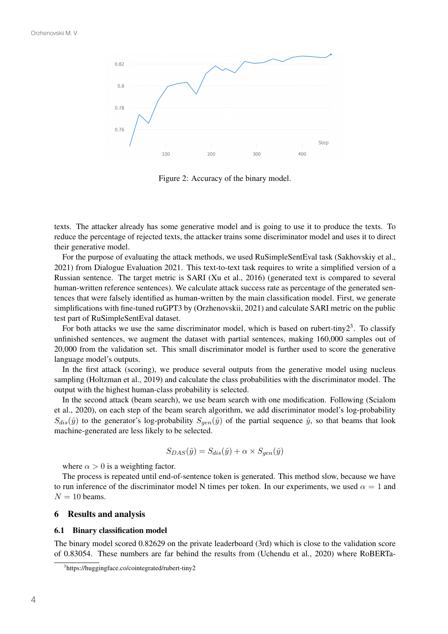

Figure 2: Accuracy of the binary model.

texts. The attacker already has some generative model and is going to use it to produce the texts. To reduce the percentage of rejected texts, the attacker trains some discriminator model and uses it to direct their generative model.

For the purpose of evaluating the attack methods, we used RuSimpleSentEval task (Sakhovskiy et al., 2021) from Dialogue Evaluation 2021. This text-to-text task requires to write a simplified version of a Russian sentence. The target metric is SARI (Xu et al., 2016) (generated text is compared to several human-written reference sentences). We calculate attack success rate as percentage of the generated sentences that were falsely identified as human-written by the main classification model. First, we generate simplifications with fine-tuned ruGPT3 by (Orzhenovskii, 2021) and calculate SARI metric on the public test part of RuSimpleSentEval dataset.

For both attacks we use the same discriminator model, which is based on rubert-tiny  $2<sup>3</sup>$ . To classify unfinished sentences, we augment the dataset with partial sentences, making 160,000 samples out of 20,000 from the validation set. This small discriminator model is further used to score the generative language model's outputs.

In the first attack (scoring), we produce several outputs from the generative model using nucleus sampling (Holtzman et al., 2019) and calculate the class probabilities with the discriminator model. The output with the highest human-class probability is selected.

In the second attack (beam search), we use beam search with one modification. Following (Scialom et al., 2020), on each step of the beam search algorithm, we add discriminator model's log-probability  $S_{dis}(\hat{y})$  to the generator's log-probability  $S_{gen}(\hat{y})$  of the partial sequence  $\hat{y}$ , so that beams that look machine-generated are less likely to be selected.

$$
S_{DAS}(\hat{y}) = S_{dis}(\hat{y}) + \alpha \times S_{gen}(\hat{y})
$$

where  $\alpha > 0$  is a weighting factor.

The process is repeated until end-of-sentence token is generated. This method slow, because we have to run inference of the discriminator model N times per token. In our experiments, we used  $\alpha = 1$  and  $N = 10$  beams.

### 6 Results and analysis

#### 6.1 Binary classification model

The binary model scored 0.82629 on the private leaderboard (3rd) which is close to the validation score of 0.83054. These numbers are far behind the results from (Uchendu et al., 2020) where RoBERTa-

<sup>3</sup> https://huggingface.co/cointegrated/rubert-tiny2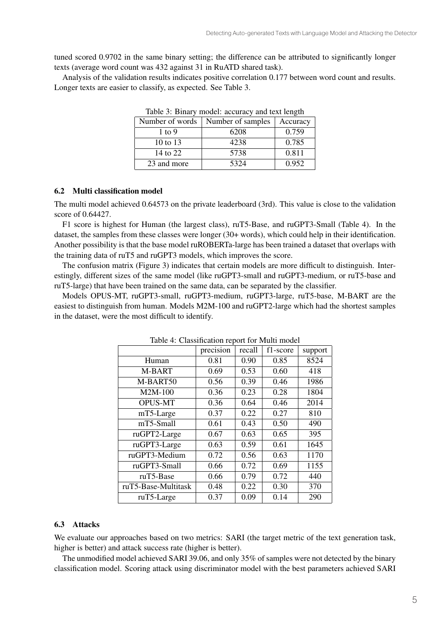tuned scored 0.9702 in the same binary setting; the difference can be attributed to significantly longer texts (average word count was 432 against 31 in RuATD shared task).

Analysis of the validation results indicates positive correlation 0.177 between word count and results. Longer texts are easier to classify, as expected. See Table 3.

| Table 5. Dinary mouer, accuracy and text length |                   |          |  |  |  |  |  |
|-------------------------------------------------|-------------------|----------|--|--|--|--|--|
| Number of words                                 | Number of samples | Accuracy |  |  |  |  |  |
| $1$ to 9                                        | 6208              | 0.759    |  |  |  |  |  |
| 10 to 13                                        | 4238              | 0.785    |  |  |  |  |  |
| 14 to 22                                        | 5738              | 0.811    |  |  |  |  |  |
| 23 and more                                     | 5324              | 0.952    |  |  |  |  |  |

Table 3: Binary model: accuracy and text length

### 6.2 Multi classification model

The multi model achieved 0.64573 on the private leaderboard (3rd). This value is close to the validation score of 0.64427.

F1 score is highest for Human (the largest class), ruT5-Base, and ruGPT3-Small (Table 4). In the dataset, the samples from these classes were longer (30+ words), which could help in their identification. Another possibility is that the base model ruROBERTa-large has been trained a dataset that overlaps with the training data of ruT5 and ruGPT3 models, which improves the score.

The confusion matrix (Figure 3) indicates that certain models are more difficult to distinguish. Interestingly, different sizes of the same model (like ruGPT3-small and ruGPT3-medium, or ruT5-base and ruT5-large) that have been trained on the same data, can be separated by the classifier.

Models OPUS-MT, ruGPT3-small, ruGPT3-medium, ruGPT3-large, ruT5-base, M-BART are the easiest to distinguish from human. Models M2M-100 and ruGPT2-large which had the shortest samples in the dataset, were the most difficult to identify.

|                     | precision | recall | f1-score | support |  |  |  |  |
|---------------------|-----------|--------|----------|---------|--|--|--|--|
| Human               | 0.81      | 0.90   | 0.85     | 8524    |  |  |  |  |
| M-BART              | 0.69      | 0.53   | 0.60     | 418     |  |  |  |  |
| M-BART50            | 0.56      | 0.39   | 0.46     | 1986    |  |  |  |  |
| M2M-100             | 0.36      | 0.23   | 0.28     | 1804    |  |  |  |  |
| <b>OPUS-MT</b>      | 0.36      | 0.64   | 0.46     | 2014    |  |  |  |  |
| mT5-Large           | 0.37      | 0.22   | 0.27     | 810     |  |  |  |  |
| mT5-Small           | 0.61      | 0.43   | 0.50     | 490     |  |  |  |  |
| ruGPT2-Large        | 0.67      | 0.63   | 0.65     | 395     |  |  |  |  |
| ruGPT3-Large        | 0.63      | 0.59   | 0.61     | 1645    |  |  |  |  |
| ruGPT3-Medium       | 0.72      | 0.56   | 0.63     | 1170    |  |  |  |  |
| ruGPT3-Small        | 0.66      | 0.72   | 0.69     | 1155    |  |  |  |  |
| ruT5-Base           | 0.66      | 0.79   | 0.72     | 440     |  |  |  |  |
| ruT5-Base-Multitask | 0.48      | 0.22   | 0.30     | 370     |  |  |  |  |
| ruT5-Large          | 0.37      | 0.09   | 0.14     | 290     |  |  |  |  |

Table 4: Classification report for Multi model

### 6.3 Attacks

We evaluate our approaches based on two metrics: SARI (the target metric of the text generation task, higher is better) and attack success rate (higher is better).

The unmodified model achieved SARI 39.06, and only 35% of samples were not detected by the binary classification model. Scoring attack using discriminator model with the best parameters achieved SARI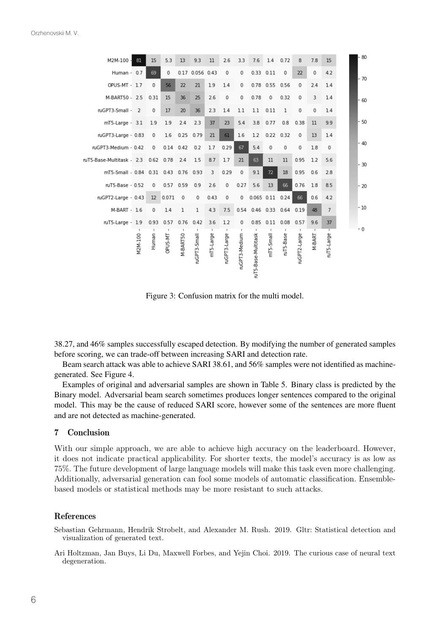| M2M-100 -                              | 81      | 15                | 5.3            | 13              | 9.3             | 11        | 2.6          | 3.3           | 7.6                      | 1.4            | 0.72        | 8            | 7.8         | 15             | $-80$ |
|----------------------------------------|---------|-------------------|----------------|-----------------|-----------------|-----------|--------------|---------------|--------------------------|----------------|-------------|--------------|-------------|----------------|-------|
| Human - 0.7                            |         | 69                | $\mathbf 0$    |                 | 0.17 0.056 0.43 |           | $\mathbf 0$  | 0             |                          | 0.33 0.11      | $\mathbf 0$ | 22           | $\mathbf 0$ | 4.2            | - 70  |
| OPUS-MT - 1.7                          |         | $\mathbf 0$       | 56             | 22              | 21              | 1.9       | 1.4          | 0             |                          | 0.78 0.55 0.56 |             | 0            | 2.4         | 1.4            |       |
| M-BART50 - 2.5                         |         | 0.31              | 15             | 36              | 25              | 2.6       | 0            | $\bf 0$       | 0.78                     | 0              | 0.32        | 0            | 3           | 1.4            | - 60  |
| ruGPT3-Small - 2                       |         | $\mathbf 0$       | 17             | 20              | 36              | 2.3       | 1.4          | 1.1           | 1.1                      | 0.11           | 1           | $\mathbf 0$  | $\mathbf 0$ | 1.4            |       |
| $mT5$ -Large $-3.1$                    |         | 1.9               | 1.9            | 2.4             | 2.3             | 37        | 23           | 5.4           | 3.8                      | 0.77           | 0.8         | 0.38         | 11          | 9.9            | $-50$ |
| ruGPT3-Large - 0.83                    |         | 0                 | 1.6            |                 | $0.25$ 0.79     | 21        | 61           | 1.6           | 1.2                      | 0.22 0.32      |             | 0            | 13          | 1.4            |       |
| ruGPT3-Medium - 0.42                   |         | 0                 | $0.14$ $0.42$  |                 | 0.2             | 1.7       | 0.29         | 67            | 5.4                      | 0              | 0           | 0            | 1.8         | $\mathbf 0$    | $-40$ |
| uT5-Base-Multitask - 2.3 0.62 0.78 2.4 |         |                   |                |                 | 1.5             | 8.7       | 1.7          | 21            | 63                       | 11             | 11          | 0.95         | 1.2         | 5.6            | $-30$ |
| mT5-Small - 0.84 0.31 0.43 0.76 0.93   |         |                   |                |                 |                 | 3         | 0.29         | $\mathbf 0$   | 9.1                      | 72             | 18          | 0.95         | 0.6         | 2.8            |       |
| ruT5-Base - 0.52                       |         | $\mathbf 0$       | 0.57 0.59      |                 | 0.9             | 2.6       | 0            | 0.27          | 5.6                      | 13             | 66          | 0.76         | 1.8         | 8.5            | $-20$ |
| ruGPT2-Large - 0.43                    |         | $12 \overline{ }$ | 0.071          | $^{\circ}$      | 0               | 0.43      | 0            | 0             | $0.065$ $0.11$ $0.24$    |                |             | 66           | 0.6         | 4.2            |       |
| M-BART - 1.6                           |         | 0                 | 1.4            | 1               | $\mathbf 1$     | 4.3       | 7.5          |               | 0.54 0.46 0.33 0.64 0.19 |                |             |              | 48          | $\overline{7}$ | $-10$ |
| $nT5$ -Large - $1.9$                   |         |                   | 0.93 0.57 0.76 |                 | 0.42            | 3.6       | 1.2          | 0             |                          | $0.85$ $0.11$  | 0.08        | 0.57         | 9.6         | 37             |       |
|                                        | 42M-100 | Human             | <b>TM-STAC</b> | <b>M-BART50</b> | ruGPT3-Small    | mT5-Large | ruGPT3-Large | ruGPT3-Medium | ruT5-Base-Multitask      | mT5-Small      | ruT5-Base   | ruGPT2-Large | M-BART      | ruT5-Large     | - 0   |

Figure 3: Confusion matrix for the multi model.

38.27, and 46% samples successfully escaped detection. By modifying the number of generated samples before scoring, we can trade-off between increasing SARI and detection rate.

Beam search attack was able to achieve SARI 38.61, and 56% samples were not identified as machinegenerated. See Figure 4.

Examples of original and adversarial samples are shown in Table 5. Binary class is predicted by the Binary model. Adversarial beam search sometimes produces longer sentences compared to the original model. This may be the cause of reduced SARI score, however some of the sentences are more fluent and are not detected as machine-generated.

### 7 Conclusion

With our simple approach, we are able to achieve high accuracy on the leaderboard. However, it does not indicate practical applicability. For shorter texts, the model's accuracy is as low as 75%. The future development of large language models will make this task even more challenging. Additionally, adversarial generation can fool some models of automatic classification. Ensemblebased models or statistical methods may be more resistant to such attacks.

### References

Sebastian Gehrmann, Hendrik Strobelt, and Alexander M. Rush. 2019. Gltr: Statistical detection and visualization of generated text.

Ari Holtzman, Jan Buys, Li Du, Maxwell Forbes, and Yejin Choi. 2019. The curious case of neural text degeneration.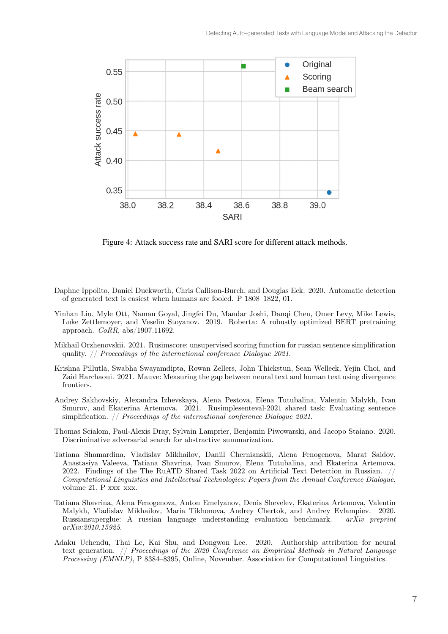

Figure 4: Attack success rate and SARI score for different attack methods.

- Daphne Ippolito, Daniel Duckworth, Chris Callison-Burch, and Douglas Eck. 2020. Automatic detection of generated text is easiest when humans are fooled. P 1808–1822, 01.
- Yinhan Liu, Myle Ott, Naman Goyal, Jingfei Du, Mandar Joshi, Danqi Chen, Omer Levy, Mike Lewis, Luke Zettlemoyer, and Veselin Stoyanov. 2019. Roberta: A robustly optimized BERT pretraining approach. *CoRR*, abs/1907.11692.
- Mikhail Orzhenovskii. 2021. Rusimscore: unsupervised scoring function for russian sentence simplification quality. // *Proceedings of the international conference Dialogue 2021*.
- Krishna Pillutla, Swabha Swayamdipta, Rowan Zellers, John Thickstun, Sean Welleck, Yejin Choi, and Zaid Harchaoui. 2021. Mauve: Measuring the gap between neural text and human text using divergence frontiers.
- Andrey Sakhovskiy, Alexandra Izhevskaya, Alena Pestova, Elena Tutubalina, Valentin Malykh, Ivan Smurov, and Ekaterina Artemova. 2021. Rusimplesenteval-2021 shared task: Evaluating sentence simplification. // *Proceedings of the international conference Dialogue 2021*.
- Thomas Scialom, Paul-Alexis Dray, Sylvain Lamprier, Benjamin Piwowarski, and Jacopo Staiano. 2020. Discriminative adversarial search for abstractive summarization.
- Tatiana Shamardina, Vladislav Mikhailov, Daniil Chernianskii, Alena Fenogenova, Marat Saidov, Anastasiya Valeeva, Tatiana Shavrina, Ivan Smurov, Elena Tutubalina, and Ekaterina Artemova. 2022. Findings of the The RuATD Shared Task 2022 on Artificial Text Detection in Russian. // *Computational Linguistics and Intellectual Technologies: Papers from the Annual Conference Dialogue*, volume 21, P xxx–xxx.
- Tatiana Shavrina, Alena Fenogenova, Anton Emelyanov, Denis Shevelev, Ekaterina Artemova, Valentin Malykh, Vladislav Mikhailov, Maria Tikhonova, Andrey Chertok, and Andrey Evlampiev. 2020. Russiansuperglue: A russian language understanding evaluation benchmark. *arXiv preprint arXiv:2010.15925*.
- Adaku Uchendu, Thai Le, Kai Shu, and Dongwon Lee. 2020. Authorship attribution for neural text generation. // *Proceedings of the 2020 Conference on Empirical Methods in Natural Language Processing (EMNLP)*, P 8384–8395, Online, November. Association for Computational Linguistics.